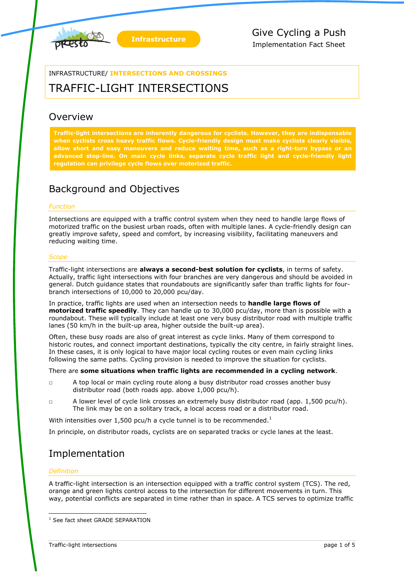



INFRASTRUCTURE/ **INTERSECTIONS AND CROSSINGS**

# TRAFFIC-LIGHT INTERSECTIONS

## **Overview**

**Traffic-light intersections are inherently dangerous for cyclists. However, they are indispensable**  when cyclists cross heavy traffic flows. Cycle-friendly design must make cyclists clearly visible, **allow short and easy maneuvers and reduce waiting time, such as a right-turn bypass or an advanced stop-line. On main cycle links, separate cycle traffic light and cycle-friendly light regulation can privilege cycle flows over motorized traffic.**

## Background and Objectives

### *Function*

Intersections are equipped with a traffic control system when they need to handle large flows of motorized traffic on the busiest urban roads, often with multiple lanes. A cycle-friendly design can greatly improve safety, speed and comfort, by increasing visibility, facilitating maneuvers and reducing waiting time.

### *Scope*

Traffic-light intersections are **always a second-best solution for cyclists**, in terms of safety. Actually, traffic light intersections with four branches are very dangerous and should be avoided in general. Dutch guidance states that roundabouts are significantly safer than traffic lights for fourbranch intersections of 10,000 to 20,000 pcu/day.

In practice, traffic lights are used when an intersection needs to **handle large flows of motorized traffic speedily**. They can handle up to 30,000 pcu/day, more than is possible with a roundabout. These will typically include at least one very busy distributor road with multiple traffic lanes (50 km/h in the built-up area, higher outside the built-up area).

Often, these busy roads are also of great interest as cycle links. Many of them correspond to historic routes, and connect important destinations, typically the city centre, in fairly straight lines. In these cases, it is only logical to have major local cycling routes or even main cycling links following the same paths. Cycling provision is needed to improve the situation for cyclists.

There are **some situations when traffic lights are recommended in a cycling network**.

- $\Box$  A top local or main cycling route along a busy distributor road crosses another busy distributor road (both roads app. above 1,000 pcu/h).
- □ A lower level of cycle link crosses an extremely busy distributor road (app. 1,500 pcu/h). The link may be on a solitary track, a local access road or a distributor road.

With intensities over 1,500 pcu/h a cycle tunnel is to be recommended.<sup>1</sup>

In principle, on distributor roads, cyclists are on separated tracks or cycle lanes at the least.

## Implementation

### *Definition*

-

A traffic-light intersection is an intersection equipped with a traffic control system (TCS). The red, orange and green lights control access to the intersection for different movements in turn. This way, potential conflicts are separated in time rather than in space. A TCS serves to optimize traffic

<sup>&</sup>lt;sup>1</sup> See fact sheet GRADE SEPARATION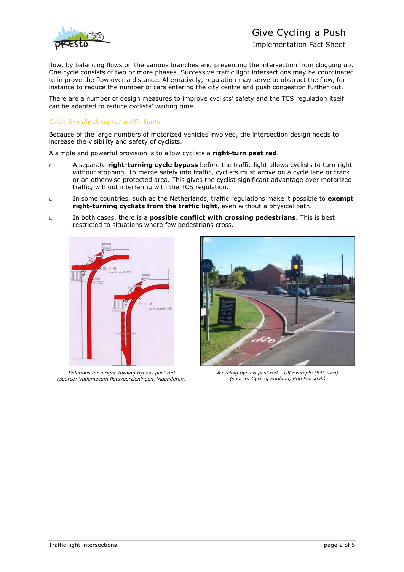

## Give Cycling a Push

Implementation Fact Sheet

flow, by balancing flows on the various branches and preventing the intersection from clogging up. One cycle consists of two or more phases. Successive traffic light intersections may be coordinated to improve the flow over a distance. Alternatively, regulation may serve to obstruct the flow, for instance to reduce the number of cars entering the city centre and push congestion further out.

There are a number of design measures to improve cyclists' safety and the TCS regulation itself can be adapted to reduce cyclists' waiting time.

#### *Cycle-friendly design at traffic lights*

Because of the large numbers of motorized vehicles involved, the intersection design needs to increase the visibility and safety of cyclists.

A simple and powerful provision is to allow cyclists a **right-turn past red**.

- □ A separate **right-turning cycle bypass** before the traffic light allows cyclists to turn right without stopping. To merge safely into traffic, cyclists must arrive on a cycle lane or track or an otherwise protected area. This gives the cyclist significant advantage over motorized traffic, without interfering with the TCS regulation.
- □ In some countries, such as the Netherlands, traffic regulations make it possible to **exempt right-turning cyclists from the traffic light**, even without a physical path.
- □ In both cases, there is a **possible conflict with crossing pedestrians**. This is best restricted to situations where few pedestrians cross.



*Solutions for a right-turning bypass past red (source: Vademecum fietsvoorzieningen, Vlaanderen)*



*A cycling bypass past red – UK example (left-turn) (source: Cycling England, Rob Marshall)*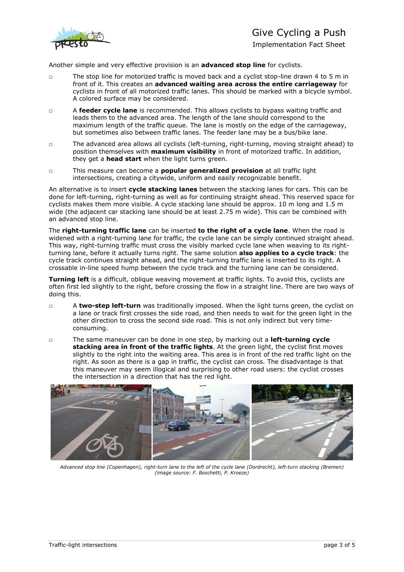

# Give Cycling a Push

Implementation Fact Sheet

Another simple and very effective provision is an **advanced stop line** for cyclists.

- □ The stop line for motorized traffic is moved back and a cyclist stop-line drawn 4 to 5 m in front of it. This creates an **advanced waiting area across the entire carriageway** for cyclists in front of all motorized traffic lanes. This should be marked with a bicycle symbol. A colored surface may be considered.
- □ A **feeder cycle lane** is recommended. This allows cyclists to bypass waiting traffic and leads them to the advanced area. The length of the lane should correspond to the maximum length of the traffic queue. The lane is mostly on the edge of the carriageway, but sometimes also between traffic lanes. The feeder lane may be a bus/bike lane.
- □ The advanced area allows all cyclists (left-turning, right-turning, moving straight ahead) to position themselves with **maximum visibility** in front of motorized traffic. In addition, they get a **head start** when the light turns green.
- □ This measure can become a **popular generalized provision** at all traffic light intersections, creating a citywide, uniform and easily recognizable benefit.

An alternative is to insert **cycle stacking lanes** between the stacking lanes for cars. This can be done for left-turning, right-turning as well as for continuing straight ahead. This reserved space for cyclists makes them more visible. A cycle stacking lane should be approx. 10 m long and 1.5 m wide (the adjacent car stacking lane should be at least 2.75 m wide). This can be combined with an advanced stop line.

The **right-turning traffic lane** can be inserted **to the right of a cycle lane**. When the road is widened with a right-turning lane for traffic, the cycle lane can be simply continued straight ahead. This way, right-turning traffic must cross the visibly marked cycle lane when weaving to its rightturning lane, before it actually turns right. The same solution **also applies to a cycle track**: the cycle track continues straight ahead, and the right-turning traffic lane is inserted to its right. A crossable in-line speed hump between the cycle track and the turning lane can be considered.

**Turning left** is a difficult, oblique weaving movement at traffic lights. To avoid this, cyclists are often first led slightly to the right, before crossing the flow in a straight line. There are two ways of doing this.

- □ A **two-step left-turn** was traditionally imposed. When the light turns green, the cyclist on a lane or track first crosses the side road, and then needs to wait for the green light in the other direction to cross the second side road. This is not only indirect but very timeconsuming.
- □ The same maneuver can be done in one step, by marking out a **left-turning cycle stacking area in front of the traffic lights**. At the green light, the cyclist first moves slightly to the right into the waiting area. This area is in front of the red traffic light on the right. As soon as there is a gap in traffic, the cyclist can cross. The disadvantage is that this maneuver may seem illogical and surprising to other road users: the cyclist crosses the intersection in a direction that has the red light.



*Advanced stop line (Copenhagen), right-turn lane to the left of the cycle lane (Dordrecht), left-turn stacking (Bremen) (image source: F. Boschetti, P. Kroeze)*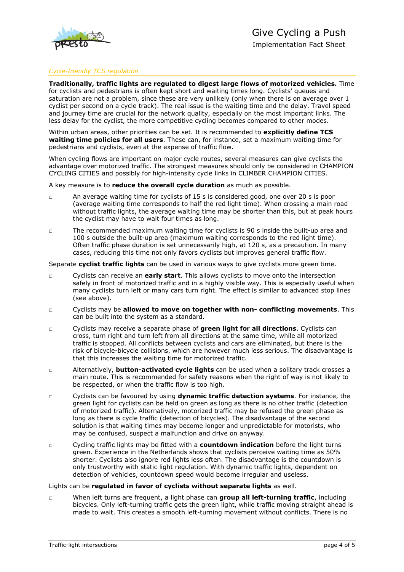

### *Cycle-friendly TCS regulation*

**Traditionally, traffic lights are regulated to digest large flows of motorized vehicles.** Time for cyclists and pedestrians is often kept short and waiting times long. Cyclists' queues and saturation are not a problem, since these are very unlikely (only when there is on average over 1 cyclist per second on a cycle track). The real issue is the waiting time and the delay. Travel speed and journey time are crucial for the network quality, especially on the most important links. The less delay for the cyclist, the more competitive cycling becomes compared to other modes.

Within urban areas, other priorities can be set. It is recommended to **explicitly define TCS waiting time policies for all users**. These can, for instance, set a maximum waiting time for pedestrians and cyclists, even at the expense of traffic flow.

When cycling flows are important on major cycle routes, several measures can give cyclists the advantage over motorized traffic. The strongest measures should only be considered in CHAMPION CYCLING CITIES and possibly for high-intensity cycle links in CLIMBER CHAMPION CITIES.

A key measure is to **reduce the overall cycle duration** as much as possible.

- □ An average waiting time for cyclists of 15 s is considered good, one over 20 s is poor (average waiting time corresponds to half the red light time). When crossing a main road without traffic lights, the average waiting time may be shorter than this, but at peak hours the cyclist may have to wait four times as long.
- □ The recommended maximum waiting time for cyclists is 90 s inside the built-up area and 100 s outside the built-up area (maximum waiting corresponds to the red light time). Often traffic phase duration is set unnecessarily high, at 120 s, as a precaution. In many cases, reducing this time not only favors cyclists but improves general traffic flow.

Separate **cyclist traffic lights** can be used in various ways to give cyclists more green time.

- □ Cyclists can receive an **early start**. This allows cyclists to move onto the intersection safely in front of motorized traffic and in a highly visible way. This is especially useful when many cyclists turn left or many cars turn right. The effect is similar to advanced stop lines (see above).
- □ Cyclists may be **allowed to move on together with non- conflicting movements**. This can be built into the system as a standard.
- □ Cyclists may receive a separate phase of **green light for all directions**. Cyclists can cross, turn right and turn left from all directions at the same time, while all motorized traffic is stopped. All conflicts between cyclists and cars are eliminated, but there is the risk of bicycle-bicycle collisions, which are however much less serious. The disadvantage is that this increases the waiting time for motorized traffic.
- □ Alternatively, **button-activated cycle lights** can be used when a solitary track crosses a main route. This is recommended for safety reasons when the right of way is not likely to be respected, or when the traffic flow is too high.
- □ Cyclists can be favoured by using **dynamic traffic detection systems**. For instance, the green light for cyclists can be held on green as long as there is no other traffic (detection of motorized traffic). Alternatively, motorized traffic may be refused the green phase as long as there is cycle traffic (detection of bicycles). The disadvantage of the second solution is that waiting times may become longer and unpredictable for motorists, who may be confused, suspect a malfunction and drive on anyway.
- □ Cycling traffic lights may be fitted with a **countdown indication** before the light turns green. Experience in the Netherlands shows that cyclists perceive waiting time as 50% shorter. Cyclists also ignore red lights less often. The disadvantage is the countdown is only trustworthy with static light regulation. With dynamic traffic lights, dependent on detection of vehicles, countdown speed would become irregular and useless.

#### Lights can be **regulated in favor of cyclists without separate lights** as well.

□ When left turns are frequent, a light phase can **group all left-turning traffic**, including bicycles. Only left-turning traffic gets the green light, while traffic moving straight ahead is made to wait. This creates a smooth left-turning movement without conflicts. There is no